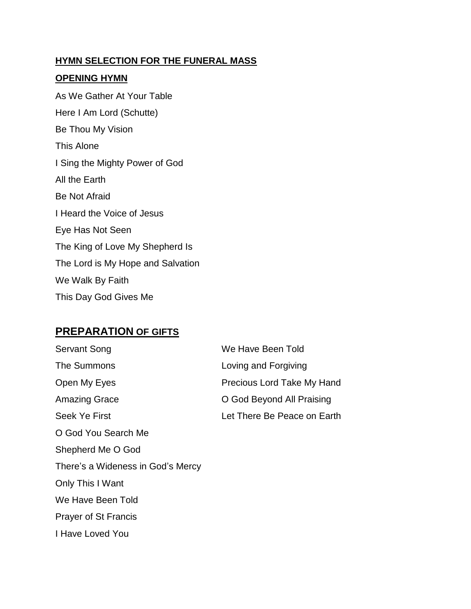#### **HYMN SELECTION FOR THE FUNERAL MASS**

#### **OPENING HYMN**

As We Gather At Your Table Here I Am Lord (Schutte) Be Thou My Vision This Alone I Sing the Mighty Power of God All the Earth Be Not Afraid I Heard the Voice of Jesus Eye Has Not Seen The King of Love My Shepherd Is The Lord is My Hope and Salvation We Walk By Faith This Day God Gives Me

### **PREPARATION OF GIFTS**

| Servant Song                      | We Have Been Told                 |
|-----------------------------------|-----------------------------------|
| The Summons                       | Loving and Forgiving              |
| Open My Eyes                      | <b>Precious Lord Take My Hand</b> |
| <b>Amazing Grace</b>              | O God Beyond All Praising         |
| Seek Ye First                     | Let There Be Peace on Earth       |
| O God You Search Me               |                                   |
| Shepherd Me O God                 |                                   |
| There's a Wideness in God's Mercy |                                   |
| Only This I Want                  |                                   |
| We Have Been Told                 |                                   |
| <b>Prayer of St Francis</b>       |                                   |
| I Have Loved You                  |                                   |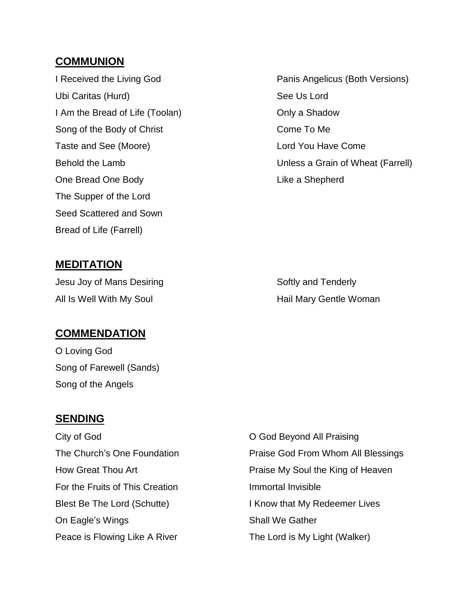### **COMMUNION**

Ubi Caritas (Hurd) See Us Lord I Am the Bread of Life (Toolan) Child Books Conly a Shadow Song of the Body of Christ Come To Me Taste and See (Moore) **Lord You Have Come** One Bread One Body **Like a Shepherd** The Supper of the Lord Seed Scattered and Sown Bread of Life (Farrell)

I Received the Living God **Panis Angelicus (Both Versions)** Behold the Lamb Unless a Grain of Wheat (Farrell)

### **MEDITATION**

Jesu Joy of Mans Desiring The Softly and Tenderly All Is Well With My Soul **All Is Well With My Soul** Hail Mary Gentle Woman

## **COMMENDATION**

O Loving God Song of Farewell (Sands) Song of the Angels

#### **SENDING**

City of God **Channel City of God City of God City of God City** of God Deyond All Praising For the Fruits of This Creation **Immortal Invisible** On Eagle's Wings Shall We Gather Peace is Flowing Like A River The Lord is My Light (Walker)

The Church's One Foundation **Praise God From Whom All Blessings** How Great Thou Art **Praise My Soul the King of Heaven** Blest Be The Lord (Schutte) I Know that My Redeemer Lives